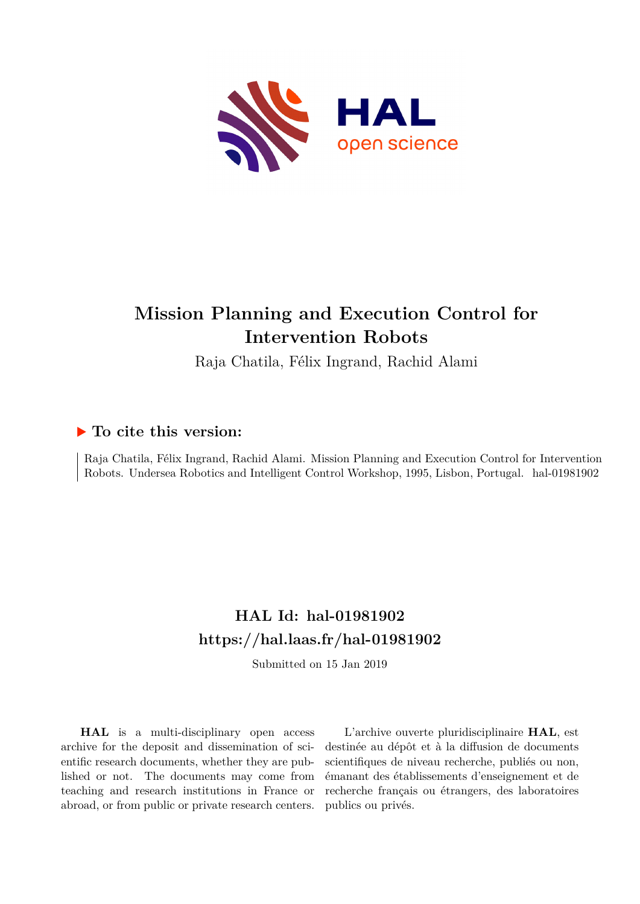

# **Mission Planning and Execution Control for Intervention Robots**

Raja Chatila, Félix Ingrand, Rachid Alami

# **To cite this version:**

Raja Chatila, Félix Ingrand, Rachid Alami. Mission Planning and Execution Control for Intervention Robots. Undersea Robotics and Intelligent Control Workshop, 1995, Lisbon, Portugal. hal-01981902

# **HAL Id: hal-01981902 <https://hal.laas.fr/hal-01981902>**

Submitted on 15 Jan 2019

**HAL** is a multi-disciplinary open access archive for the deposit and dissemination of scientific research documents, whether they are published or not. The documents may come from teaching and research institutions in France or abroad, or from public or private research centers.

L'archive ouverte pluridisciplinaire **HAL**, est destinée au dépôt et à la diffusion de documents scientifiques de niveau recherche, publiés ou non, émanant des établissements d'enseignement et de recherche français ou étrangers, des laboratoires publics ou privés.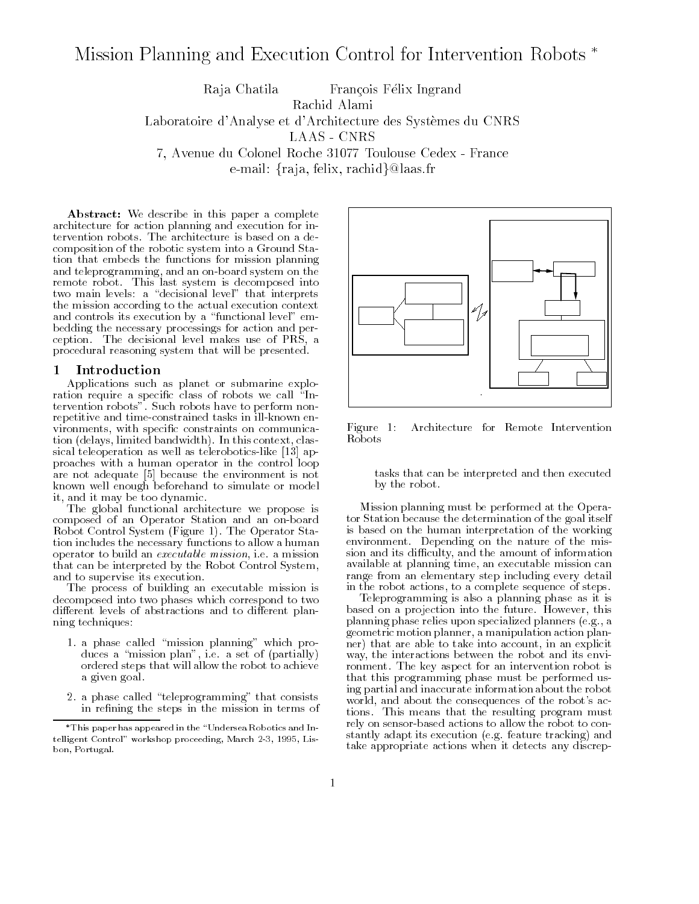# Mission Planning and Execution Control for Intervention Robots

Raja Chatila François Félix Ingrand Rachid Alami Laboratoire d-Analyse et d-Architecture des Systemes du CNRS LAAS - CNRS 7, Avenue du Colonel Roche 31077 Toulouse Cedex - France e-mail: {raja, felix, rachid}@laas.fr

Abstract: We describe in this paper a complete architecture for action planning and execution for in tervention robots The architecture is based on a de composition of the robotic system into a Ground Sta tion that embeds the functions for mission planning and teleprogramming-teleprogramming-teleprogramming-teleprogramming-teleprogramming-teleprogrammingremote robot. This last system is decomposed into two main levels: a "decisional level" that interprets the mission according to the actual execution context and controls its execution by a "functional level" embedding the necessary processings for action and per ception The decision The decision The decision The decision The decision The decision The Decision The Decision procedural reasoning system that will be presented

## Introduction

Applications such as planet or submarine explo ration require a specific class of robots we call "Intervention robots". Such robots have to perform nonrepetitive and time-constrained tasks in ill-known environments- with specified communication and communication tion delays and the context-tion of the context of the context of the context of the context of the context of sical telephone as well as well as telephone and the property of  $\mathbb{P}^1$ proaches with a human operator in the control loop are not adequate [5] because the environment is not known well enough beforehand to simulate or model it-too dynamic too dynamic too dynamic too dynamic too dynamic too dynamic too dynamic too dynamic too dynamic

The global functional architecture we propose is composed of an Operator Station and an on-board Robot Control System Figure The Operator Sta tion includes the necessary functions to allow a human operator to build an executable mission-build and the mission-build and the mission-build and the mission-build and the missionthat can be interpreted by the Robot Control System, and to supervise its execution

The process of building an executable mission is decomposed into two phases which correspond to two different levels of abstractions and to different planning techniques

- a phase called mission planning which pro duces a mission plan-based on the partially plan-based on the particle of particle and particle of particle of ordered steps that will allow the robot to achieve a given goal
- 2. a phase called "teleprogramming" that consists in refining the steps in the mission in terms of



Figure 1: Architecture for Remote Intervention Robots

tasks that can be interpreted and then executed by the robot

Mission planning must be performed at the Opera tor Station because the determination of the goal itself is based on the human interpretation of the working environment. Depending on the nature of the mission and its diculty- and the amount of information available at planning time- an executable mission can range from an elementary step including every detail in the robot actions-between the robot actions-between the robot actions-between the robot actions-between the

Teleprogramming is also a planning phase as it is based on a projection into the future However-However-However-However-However-However-However-However-Howeverplanning phase relies upon specialized planners eg- a geometric motion planners planners action planner of the planners of the planners of the planners of the planne ner that are able to take into a control of the second term in an explicit term in an explicit term in an explicit term in an explicit term in an explicit term in an explicit term in an explicit term in an explicit term in way, the interactions between the robot and its environment and its environment ronment. The key aspect for an intervention robot is that this programming phase must be performed us ing partial and inaccurate information about the robot world- and about the consequence of the robots activities and tions This means that the resulting program must rely on sensor-based actions to allow the robot to constantly adapt its execution (e.g. feature tracking) and take appropriate actions when it detects any discrep

<sup>\*</sup> This paper has appeared in the "Undersea Robotics and Intelligent Control-United March 2014, and the proceeding March 2014, and the control-United March 2014, and the bon, Portugal.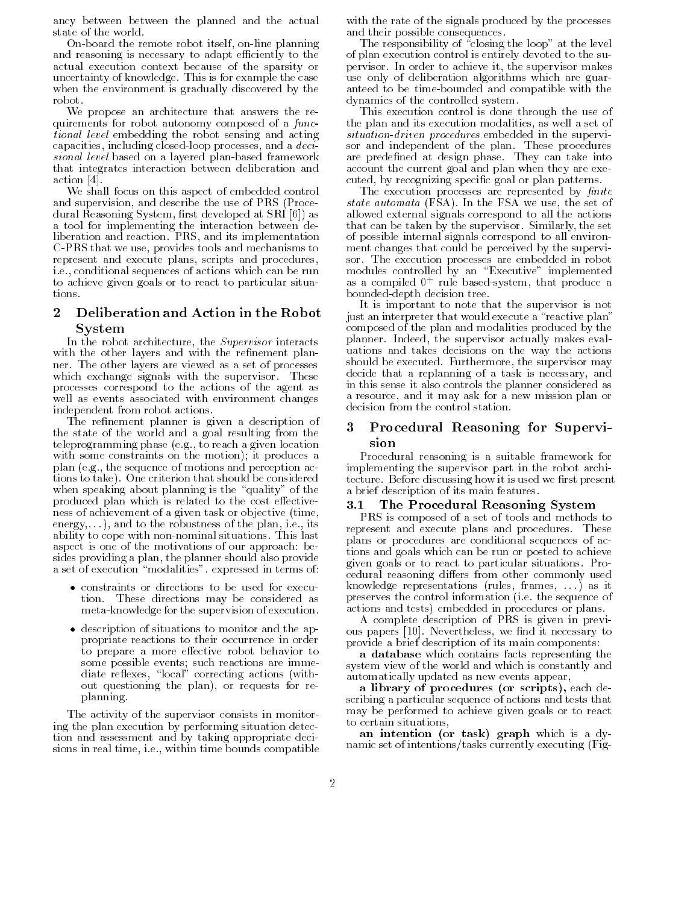ancy between between the planned and the actual state of the world

Onboard the remote robot itself- online planning and reasoning is necessary to adapt efficiently to the actual execution context because of the sparsity or uncertainty of knowledge This is for example the case when the environment is gradually discovered by the robot

We propose an architecture that answers the re quirements for robot autonomy composed of a func tional level embedding the robot sensing and acting capacities, including close a decip processes, and a decip sional level based on a layered plan-based framework that integrates interaction between deliberation and action  $[4]$ .

We shall focus on this aspect of embedded control and supervision-describe the use of PRS Processes of Processes of Processes of Processes of Processes of Proces dural Reasoning System-System-System-System-System-System-System-System-System-System-System-System-System-System-System-System-System-System-System-System-System-System-System-System-System-System-System-System-System-Sys a tool for implementing the interaction between de liberation and reaction  $\mathbb{R}^n$  and its implementation  $\mathbb{R}^n$ CPRS that we use- provides tools and mechanisms to represent and execute plans- scripts and proceduresie- conditional sequences of actions which can be run to achieve given goals or to react to particular situa tions.

### Deliberation and Action in the Robot Svstem System and the system of the system of the system of the system of the system of the system of the system of the system of the system of the system of the system of the system of the system of the system of the system of t

In the robot architecture-the robot architecture-the Supervisor interacts interacts interacts in the Supervisor interacts in with the other layers and with the refinement planner. The other layers are viewed as a set of processes which exchange signals with the supervisor. These processes correspond to the actions of the agent as well as events associated with environment changes independent from robot actions

The refinement planner is given a description of the state of the world and a goal resulting from the teleprogramming phase eg- to reach a given location with some constraints on the motion); it produces a process the sequence of motions and perceptions and perceptions are accepted for the sequence of  $\sim$ tions to take). One criterion that should be considered when speaking about planning is the "quality" of the produced plan which is related to the cost effectiveness of achievement of a given task or objective (time, energy- - and to the robustness of the plan- ie- its ability to cope with non-nominal situations. This last aspect is one of the motivations of our approach. besides providing a plan- the planner should also provide a set of execution "modalities" expressed in terms of:

- tion These directions may be considered as meta-knowledge for the supervision of execution.
- description of situations to monitor and the approximation  $\mathbf{r}_\mathbf{p}$ propriate reactions to their occurrence in order to prepare a more effective robot behavior to some possible events; such reactions are immediate represent actions with actions with a corrections with a corrections of the corrections of the corrections of the corrections of the corrections of the corrections of the corrections of the corrections of the correct out questioning the plan- or requests for re planning

The activity of the supervisor consists in monitor ing the plan execution by performing situation detec tion and assessment and by taking appropriate deci sions in real time- ie- within time bounds compatible with the rate of the signals produced by the processes and their possible consequences

The responsibility of "closing the loop" at the level of plan execution control is entirely devoted to the su pervisor In order to achieve it-the supervisor in order to achieve it-the supervisor makes the supervisor makes use only of deliberation algorithms which are guar anteed to be time-bounded and compatible with the dynamics of the controlled system

This execution control is done through the use of the plant and its executive model and its execution who well as well as situation-driven procedures embedded in the supervisor and independent of the plan. These procedures are predefined at design phase. They can take into account the current goal and plan when they are exe cuted- by recognizing specic goal or plan patterns

The execution processes are represented by finite state automata FSA In the FSA we use- the set of allowed external signals correspond to all the actions that can be taken by the supervisor Similarly- the set of possible internal signals correspond to all environ ment changes that could be perceived by the supervi sor. The execution processes are embedded in robot modules controlled by an "Executive" implemented as a compiled  $\upsilon$  rule based-system, that produce a bounded-depth decision tree

It is important to note that the supervisor is not just an interpreter that would execute a "reactive plan" composed of the plan and modalities produced by the processes and supervisor and position actually makes evaluations of the supervisor of the supervisor of the supervisor of the supervisor of the supervisor of the supervisor of the supervisor of the supervisor of the superv uations and takes decisions on the way the actions show that the supervisor of the supervisor of the supervisor of the supervisor  $\mathbf{r}_1$ decide that a replanning of a replanning of a task is necessary-to-the control of a task is necessary-to-the control of a task is necessary-to-the control of a task is necessary-to-the control of a task is necessary-to-the in this sense it also controls the planner considered as a resource-ten and it may ask for a new mission plan or a new mission plan or a new mission plan or a new mission plan or a new mission plan or a new mission plan or a new mission plan or a new mission plan or a new missio decision from the control station

### $\bf{3}$  Procedural Reasoning for Supervi sion

Procedural reasoning is a suitable framework for implementing the supervisor part in the robot archi tecture. Before discussing how it is used we first present a brief description of its main features

#### $3.1$ The Procedural Reasoning System

PRS is composed of a set of tools and methods to represent and execute plans and procedures. These plans or procedures are conditional sequences of ac tions and goals which can be run or posted to achieve given goals or to react to particular situations Pro cedural reasoning differs from other commonly used knowledge representations rules- frames- as it preserves the control information (i.e. the sequence of actions and tests) embedded in procedures or plans.

A complete description of PRS is given in previ ous papers in the contract of the contract of the contract of the contract of the contract of the contract of the contract of the contract of the contract of the contract of the contract of the contract of the contract of provide a brief description of its main components

a database which contains facts representing the system view of the world and which is constantly and automatically updated as new events appear,

a library of procedures or scripts-dependent or scripts-dependent or scripts-dependent or scripts-dependent or scribing a particular sequence of actions and tests that may be performed to achieve given goals or to react to certain situations,

an intention or task- graph which is a dy namic set of intentions/tasks currently executing  $(Fig-$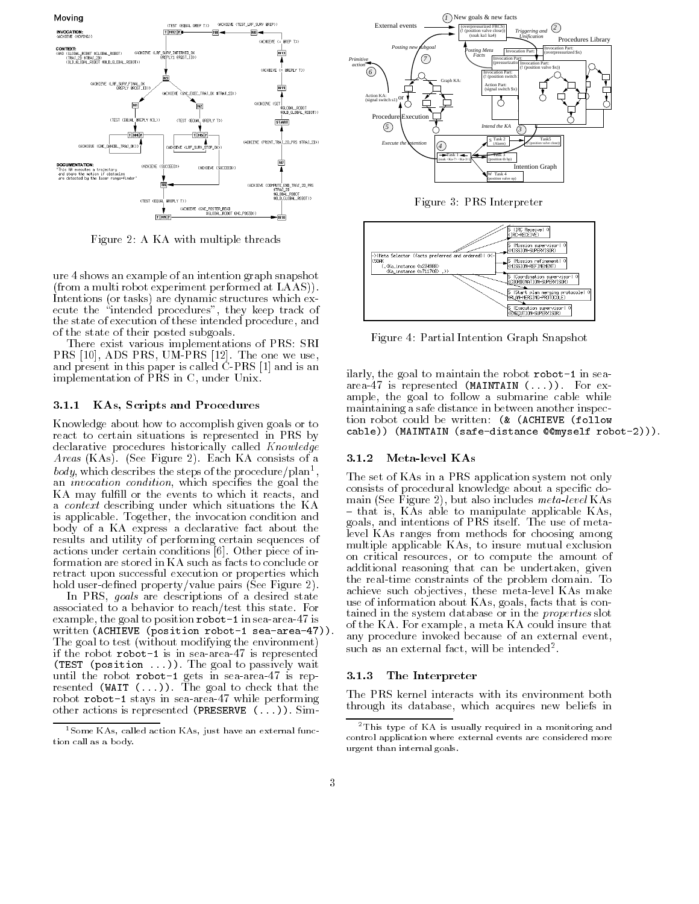Moving (ACHTEVE (TEST LRE SURV RREP)) (EQUAL RREP T)) **CTEST INVOCATION:**<br>(ACHIEVE (MOVING))  $T$   $N12$   $F$ -<br>N8 - 4  $\overline{10}$ **GCHIEVE** GREP TY CONTEXT: **FEAT:**<br>(FRAJ\_2D \$TRAJ\_2D)<br>(TRAJ\_2D \$TRAJ\_2D)<br>(OLD\_GLOBAL\_ROBOT \$OLD\_GLOBAL\_ROBOT); (ACHIEVE (LRF SURV INTERMED OK)<br>GREPLY1 QROST\_ID)  $\overline{N13}$ **GCHIEVE** (ACHIEVE (LRF\_SURV\_FINAL\_OK) GCHIEVE<sup>2</sup> .<br>INC EXEC TRAT OK \$TRAT 2D. (ACHIEVE (SE m `∣ਜ਼ \$GLOBAL\_ROBOT<br>\$OLD\_GLOBAL\_R (TEST (EQUAL REPLY NTL>> **CTEST KE** REPLY T):  $\overline{\mathsf{sTr}}$ ART -<br>|T|M4|I  $\lceil \mathsf{T} \rceil$ NS $\lceil \mathsf{F} \rceil$ 2D\_PRS \$TRAJ\_2D) GICHIEVE (PRINT\_T (ACHIEVE (GNC\_CANCEL\_TRAJ\_OK)) ACHIEVE (LRF\_SUR **DOCUMENTATION GCHIEV** (UCCEED): CACHIEVE **ICCEED** s KA executes a trajectory<br>stops the motion if obstacle<br>detected by the laser range-(ACHIEVE (COMPUTE\_END\_TRAJ\_2D\_PRS \$GLOBAL\_ROBOT<br>\$GLD\_GLOBAL\_ROBOT>) (TEST (EQUA BREPLY (ACHIEVE (GNC\_POSTER\_READ<br>\$GLOBAL\_ROBOT GNC\_POS3D))  $T$  $N9$  $F$ - 1110

Figure 2: A KA with multiple threads

ure 4 shows an example of an intention graph snapshot from a multi robot experiment performed at LAAS Intentions (or tasks) are dynamic structures which execute the intended procedures- they keep track of the state of execution of these intended procedure- and of the state of their posted subgoals

There exist various implementations of PRS: SRI e so perpendent en so en en en perpendent and the energy and present in this paper is called CPRS of the paper in the called  $\sim$ implementation of PRS in C- under Unix

## 3.1.1 KAs, Scripts and Procedures

Knowledge about how to accomplish given goals or to react to certain situations is represented in PRS by declarative procedures historically called Knowledge Areas (KAs). (See Figure 2). Each KA consists of a  $\emph{poay},$  which describes the steps of the procedure/plane, and invocation-the goal the goal the goal the goal the goal the goal the goal the goal the goal the goal the goal the goal the goal the goal the goal the goal the goal the goal the goal the goal the goal the goal the goal KA may fulll or the events to which it reacts- and a context describing under which situations the KA is applicable Together- the invocation condition and body of a KA express a declarative fact about the results and utility of performing certain sequences of actions under certain conditions  $[6]$ . Other piece of information are stored in KA such as facts to conclude or retract upon successful execution or properties which hold user-defined property/value pairs (See Figure 2).

an est are descriptions of a desired states of a desired states of a desired states of a desired state of a de associated to a behavior to reach/test this state. For example- the goal to position robot in seaarea is written  $\{$  . The season robot search search search  $\{ \}$ The goal to test (without modifying the environment) if the robot  $\texttt{robot-1}$  is in sea-area-47 is represented -TEST -position The goal to passively wait until the robot robot-1 gets in sea-area-47 is represented - WAIT - WAIT - WAIT - WAIT - WAIT - WAIT - WAIT - WAIT - WAIT - WAIT - WAIT - WAIT - WAIT - WAIT - W robot robot-1 stays in sea-area-47 while performing other actions is represented as  $\mathcal{S}$  represented -  $\mathcal{S}$  represented -  $\mathcal{S}$ 



Figure 3: PRS Interpreter



Figure 4: Partial Intention Graph Snapshot

ilarly- the goal to maintain the robot robot in sea area is represented (increased in the set of  $\mathcal{L}$ ample- the goal to follow a submarine cable while maintaining a safe distance in between another inspec tion robot could be written - (a could be written - ( a could be written -  $\sim$ cable -MAINTAIN -safedistance myself robot 

## 3.1.2 Meta-level KAs

The set of KAs in a PRS application system not only consists of procedural knowledge about a specific domanin <sub>S</sub>ee Figure – Steed Kastellander metalevel Kastell that is the state is the model pulse of provided the state  $\eta$ govern, when finished itself the use of metal the use of metals level KAs ranges from methods for choosing among multiple applicable applicable applicable applicable Kason critical resources, it is to compute the minimum of additional reasoning that can be undertaken- given the real-time constraints of the problem domain. To achieve such objectives- these metalevel Kas makes metalevel Kas makes metalevel Kas makes metalevel KAS makes use of information about Kas-is construction about Kas-is construction about Kas-is construction about Kas-is tained in the system database or in the properties slot of the Ka For example-  $\mathbb{R}^n$  , we have the Ka  $\mathbb{R}^n$  that  $\mathbb{R}^n$  is the Ka could insure that  $\mathbb{R}^n$ any procedure invoked because of an external event, such as an external fact, will be intended-.  $\blacksquare$ 

## The Interpreter

The PRS kernel interacts with its environment both through its database-in-distribution in the control of the control of the control of the control of the control of the control of the control of the control of the control of the control of the control of the control of th

 $1$  Some KAs, called action KAs, just have an external function call as a body 

<sup>&</sup>lt;sup>2</sup>This type of KA is usually required in a monitoring and control application where external events are considered more urgent than internal goals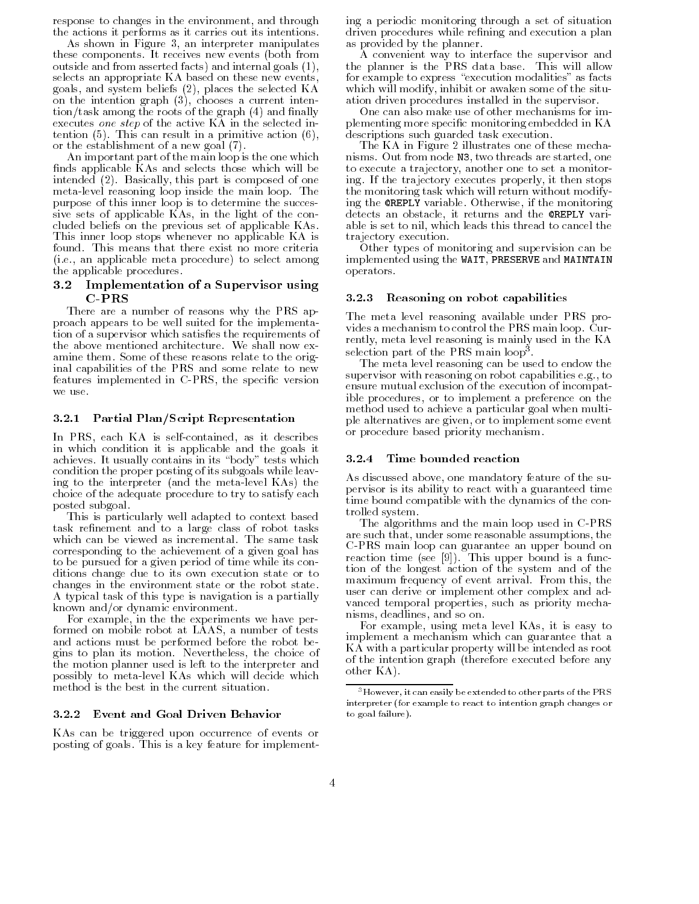response to changes in the environment- and through the actions it performs as it carries out its intentions

As shown in Figure - an interpreter manipulates these components. It receives new events (both from outside and from asserted facts and internal goals selects an appropriate KA based on these new events, goals- and system beliefs - places the selected KA on the intention graph - ( ) chooses a carrier intention tion/task among the roots of the graph  $(4)$  and finally executes one step of the active KA in the selected in tention  $(5)$ . This can result in a primitive action  $(6)$ , or the establishment of a new goal

An important part of the main loop is the one which finds applicable  $KAs$  and selects those which will be intended , by the model is composed of one of one of one of our components of our compo meta-level reasoning loop inside the main loop. The purpose of this inner loop is to determine the succes sive sets of applicable Kas-Indian applicable Kas-Indian applicable Kas-Indian applicable Kas-Indian applicable K cluded beliefs on the previous set of applicable KAs This inner loop stops whenever no applicable KA is found. This means that there exist no more criteria ie- an applicable meta procedure to select among the applicable procedures

### $3.2$  Implementation of a Supervisor using CPRS

There are a number of reasons why the PRS ap proach appears to be well suited for the implementa tion of a supervisor which satisfies the requirements of the above mentioned architecture. We shall now examine them. Some of these reasons relate to the original capabilities of the PRS and some relate to new features implemented in CPRS- the specic version we use

## 3.2.1 Partial Plan/Script Representation

In PRS- each KA is selfcontained- as it describes in which condition it is applicable and the goals it achieves. It usually contains in its "body" tests which condition the proper posting of its subgoals while leav ing to the interpreter (and the meta-level KAs) the choice of the adequate procedure to try to satisfy each posted subgoal

This is particularly well adapted to context based task refinement and to a large class of robot tasks which can be viewed as incremental. The same task corresponding to the achievement of a given goal has to be pursued for a given period of time while its con ditions change due to its own execution state or to changes in the environment state or the robot state A typical task of this type is navigation is a partially known and/or dynamic environment.

For example- in the the experiments we have per formed on mobile robot at LAAS- a number of tests and actions must be performed before the robot be gins to plan its motion Nevertheless- the choice of the motion planner used is left to the interpreter and possibly to meta-level KAs which will decide which method is the best in the current situation

## Event and Goal Driven Behavior

KAs can be triggered upon occurrence of events or posting of goals This is a key feature for implement ing a periodic monitoring through a set of situation driven procedures while refining and execution a plan as provided by the planner

A convenient way to interface the supervisor and the planner is the PRS data base. This will allow for example to express "execution modalities" as facts which will modify  $\mathbf{r}$  in the situation of the situation of the situation of the situation of the situation of the situation of the situation of the situation of the situation of the situation of the situation of the ation driven procedures installed in the supervisor

One can also make use of other mechanisms for im plementing more specific monitoring embedded in KA descriptions such guarded task execution

The KA in Figure 2 illustrates one of these mechanisms Out from node N - two threads are started- one to execute a trajectory-method and the set a monitory-method and the set a monitory-method and the set a monitor ing If the trajectory executes properly- it then stops the monitoring task which will return without modify ing the REPLY variable Otherwise- if the monitoring detects and the REPLY variable-to-the REPLY variable-to-the REPLY variable-to-the REPLY variable-to-the REPLY v able is set to nil- which leads this thread to cancel the trajectory execution

Other types of monitoring and supervision can be implemented using the WAIT- PRESERVE and MAINTAIN operators

## 3.2.3 Reasoning on robot capabilities

The meta level reasoning available under PRS pro vides a mechanism to control the PRS main loop. Currently-between reasoning is mainly used in the Katalogue reasoning in the Katalogue reasoning in the KATA was a selection part of the PRS main loop".

The meta level reasoning can be used to endow the supervisor with reasoning on robot capabilities equipment ensure mutual exclusion of the execution of incompat ible procedures- or to implement a preference on the method used to achieve a particular goal when multi ple alternatives are given- or to implement some event or procedure based priority mechanism

#### 3.2.4 Time bounded reaction

as discussed above-the substantial feature of the substantial contracts of the substantial contracts of the substantial contracts of the substantial contracts of the substantial contracts of the substantial contracts of th pervisor is its ability to react with a guaranteed time time bound compatible with the dynamics of the con trolled system

The algorithms and the main loop used in CPRS are such that the such that as such that the some reason that  $\mu$  that  $\mu$  is the such that CPRS main loop can guarantee an upper bound on reaction time (see  $[9]$ ). This upper bound is a function of the longest action of the system and of the maximum frequency of event arrival From this- the user can derive or implement other complex and ad vanced temporal properties- as priority mechanisms of the properties- as priority mechanisms of the properties nisms-de-distribution and so one of the control of the control of the control of the control of the control of

For example- using meta level KAs- it is easy to implement a mechanism which can guarantee that a KA with a particular property will be intended as root of the intention graph (therefore executed before any other KA

<sup>-</sup>However it can easily be extended to other parts of the PRS interpreter for example to react to intention graph changes or to goal failure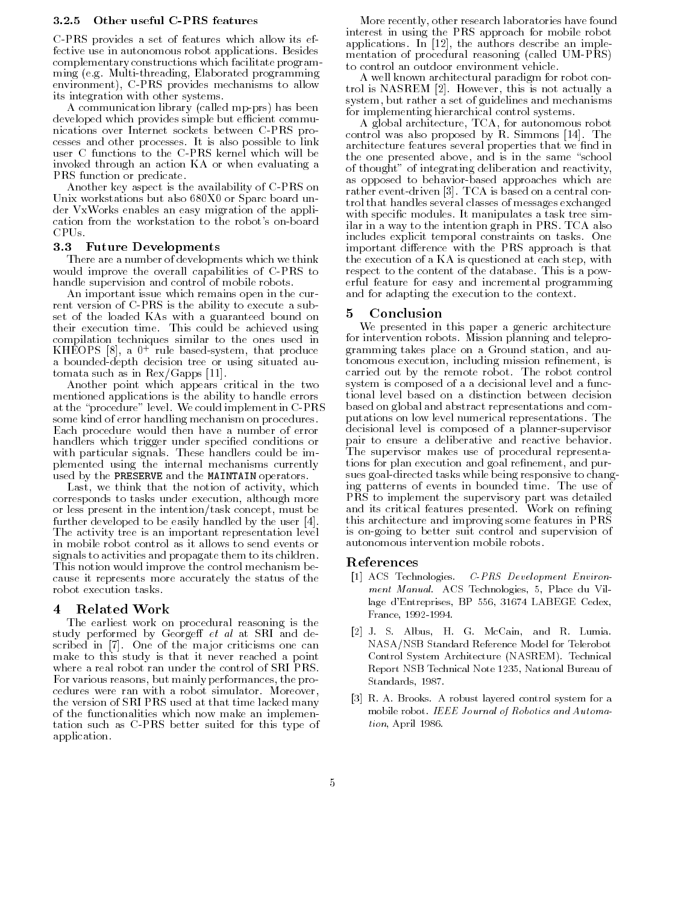## 3.2.5 Other useful C-PRS features

CPRS provides a set of features which allow its ef fective use in autonomous robot applications Besides complementary constructions which facilitate program ming eg mind and mind and and and and an programming environment-later and the contract mechanisms to allow the contract of the contract of the contract of the contract of the contract of the contract of the contract of the contract of the contract of the contract of the con its integration with other systems

A communication library (called mp-prs) has been developed which provides simple but efficient communications over Internet sockets between CPRS pro cesses and other processes It is also possible to link user C functions to the CPRS kernel which will be invoked through an action KA or when evaluating a PRS function or predicate

Another key aspect is the availability of CPRS on Unix workstations but also 680X0 or Sparc board under VxWorks enables an easy migration of the appli cation from the workstation to the robot's on-board CPUs

## 9.9 Future Developments

There are a number of developments which we think would improve the overall capabilities of CPRS to handle supervision and control of mobile robots

An important issue which remains open in the cur rent version of CPRS is the ability to execute a sub set of the loaded KAs with a guaranteed bound on their execution time. This could be achieved using compilation techniques similar to the ones used in KHEOPS [0], a U tule based-system, that produce a bounded-depth decision tree or using situated auto the such as in the such as in Responsive to the such as in Responsive to the such as in Responsive to the s

Another point which appears critical in the two mentioned applications is the ability to handle errors at the "procedure" level. We could implement in C-PRS some kind of error handling mechanism on procedures Each procedure would then have a number of error handlers which trigger under specified conditions or with particular signals. These handlers could be implemented using the internal mechanisms currently used by the PRESERVE and the MAINTAIN operators.

 $\mathcal{L}$  that the notion of activity-that that the notion of activity-the notion of activity-the notion of activity-the notion of activity-the notion of activity-the notion of activity-the notion of activity-the notion of corresponds to task under execution-to-tasks under execution-tasks under execution-tasks under the security of or less present in the intentiontask concept- must be further developed to be easily handled by the user [4]. The activity tree is an important representation level in mobile robot control as it allows to send events or signals to activities and propagate them to its children This notion would improve the control mechanism be cause it represents more accurately the status of the robot execution tasks

### $\overline{4}$ Related Work

The earliest work on procedural reasoning is the study performed by Georgeff  $et$  al at SRI and described in [7]. One of the major criticisms one can make to this study is that it never reached a point where a real robot ran under the control of SRI PRS For various reasons- but mainly performances- the pro cedures were ran with a robot simulator. Moreover, the version of SRI PRS used at that time lacked many of the functionalities which now make an implemen tation such as CPRS better suited for this type of application

More recently- other research laboratories have found interest in using the PRS approach for mobile robot applications In a state and the authors describe an implementation of the authors describe an implementation of mentation of procedural reasoning (called UM-PRS) to control an outdoor environment vehicle

A well known architectural paradigm for robot con the contractually definition of  $\mathcal{H}$  is not actually actually actually actually actually actually actually actually actually actually actually actually actually actually actually actually actually actually actually ac system, set enthred nather a guidelines and mechanisms. for implementing hierarchical control systems

architecture-autonomous robot autonomous robot au control was also proposed by R Simmons (201) 2011 architecture features several properties that we find in the one presented as a open the same school aboveof thought" of integrating deliberation and reactivity, as opposed to behavior-based approaches which are rather event-driven  $[3]$ . TCA is based on a central control that handles several classes of messages exchanged with specific modules. It manipulates a task tree similar in a way to the intention graph in PRS TCA also includes explicit temporal constraints on tasks One important difference with the PRS approach is that the execution of a keys of question at a color step-process. respect to the content of the database. This is a powerful feature for easy and incremental programming and for adapting the execution to the context

### Conclusion 5

We presented in this paper a generic architecture for intervention robots Mission planning and telepro gramming takes place on a Ground station-between the control on a Ground stationto the conomous execution-dimension-dimension-dimension-dimension-dimension-dimension-dimension-dimension-dimensioncarried out by the remote robot The robot control system is composed of a a decisional level and a func tional level based on a distinction between decision based on global and abstract representations and com putations on low level numerical representations The decisional level is composed of a planner-supervisor pair to ensure a deliberative and reactive behavior The supervisor makes use of procedural representa tions for plan executions and goal renewed the purpose  $\mathcal{L}$ sues goal-directed tasks while being responsive to changing patterns of events in bounded time The use of PRS to implement the supervisory part was detailed and its critical features presented. Work on refining this architecture and improving some features in PRS is on-going to better suit control and supervision of autonomous intervention mobile robots

## References

- ACS Technologies CPRS Development Environ ment Manual. ACS Technologies, 5, Place du Village d'American de la Berlin de Meridian de la Berlin France, 1992-1994.
- $\mathcal{A}$  . Just H G McCain and R Lumian and R Lumian and R Lumian and R Lumian and R Lumian and R Lumian and R Lumian and R Lumian and R Lumian and R Lumian and R Lumian and R Lumian and R Lumian and R Lumian and R Lumian NASA/NSB Standard Reference Model for Telerobot Control System Architecture (NASREM). Technical Report NSB Technical Note 1235, National Bureau of Standards and the standards of the standards and the standards of the standards of the standards of the standard
- - R A Brooks A robust layered control system for a mobile robot. IEEE Journal of Robotics and Automation, April 1986.